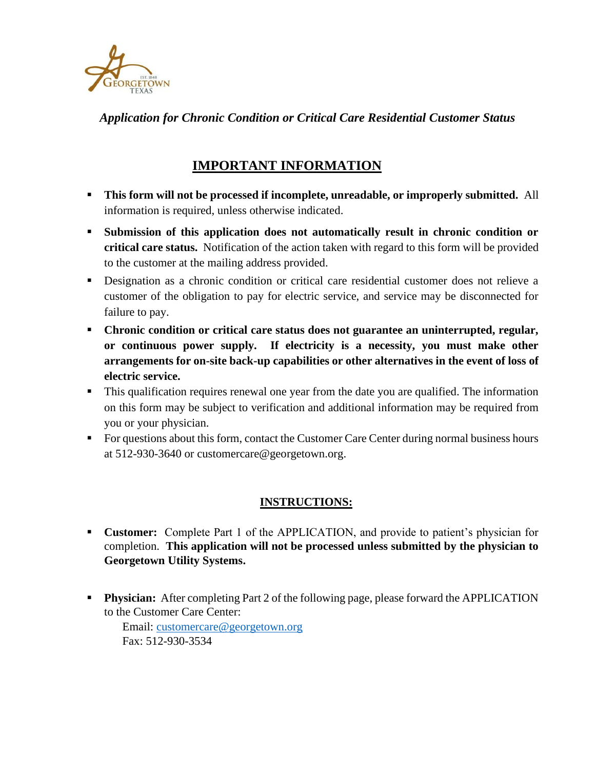

*Application for Chronic Condition or Critical Care Residential Customer Status*

## **IMPORTANT INFORMATION**

- **This form will not be processed if incomplete, unreadable, or improperly submitted.** All information is required, unless otherwise indicated.
- **Submission of this application does not automatically result in chronic condition or critical care status.** Notification of the action taken with regard to this form will be provided to the customer at the mailing address provided.
- Designation as a chronic condition or critical care residential customer does not relieve a customer of the obligation to pay for electric service, and service may be disconnected for failure to pay.
- **Chronic condition or critical care status does not guarantee an uninterrupted, regular, or continuous power supply. If electricity is a necessity, you must make other arrangements for on-site back-up capabilities or other alternatives in the event of loss of electric service.**
- **This qualification requires renewal one year from the date you are qualified. The information** on this form may be subject to verification and additional information may be required from you or your physician.
- For questions about this form, contact the Customer Care Center during normal business hours at 512-930-3640 or customercare@georgetown.org.

## **INSTRUCTIONS:**

- **Customer:** Complete Part 1 of the APPLICATION, and provide to patient's physician for completion. **This application will not be processed unless submitted by the physician to Georgetown Utility Systems.**
- **Physician:** After completing Part 2 of the following page, please forward the APPLICATION to the Customer Care Center:

Email: [customercare@georgetown.org](mailto:customercare@georgetown.org) Fax: 512-930-3534